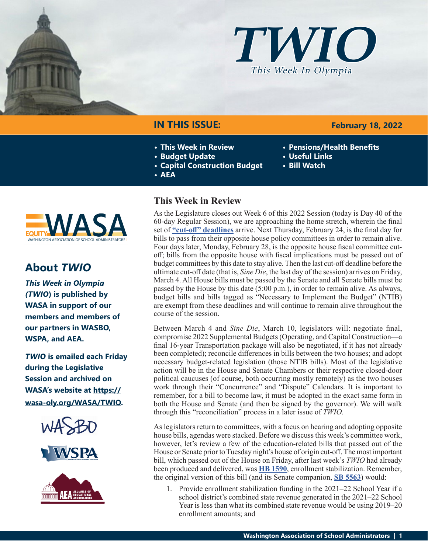



## **IN THIS ISSUE:**

- **• This Week in Review**
- **• Budget Update**
- **• Capital Construction Budget**
- **• AEA**

# **NAS**

## **About** *TWIO*

*This Week in Olympia (TWIO***) is published by WASA in support of our members and members of our partners in WASBO, WSPA, and AEA.**

*TWIO* **is emailed each Friday during the Legislative Session and archived on WASA's website at [https://](http://app.leg.wa.gov/billsummary?Year=2021&BillNumber=1803) [wasa-oly.org/WASA/TWIO](http://app.leg.wa.gov/billsummary?Year=2021&BillNumber=1803).** 





## **This Week in Review**

As the Legislature closes out Week 6 of this 2022 Session (today is Day 40 of the 60-day Regular Session), we are approaching the home stretch, wherein the final set of **["cut-off" deadlines](https://leg.wa.gov/legislature/Pages/cutoff.aspx)** arrive. Next Thursday, February 24, is the final day for bills to pass from their opposite house policy committees in order to remain alive. Four days later, Monday, February 28, is the opposite house fiscal committee cutoff; bills from the opposite house with fiscal implications must be passed out of budget committees by this date to stay alive. Then the last cut-off deadline before the ultimate cut-off date (that is, *Sine Die*, the last day of the session) arrives on Friday, March 4. All House bills must be passed by the Senate and all Senate bills must be passed by the House by this date (5:00 p.m.), in order to remain alive. As always, budget bills and bills tagged as "Necessary to Implement the Budget" (NTIB) are exempt from these deadlines and will continue to remain alive throughout the course of the session.

Between March 4 and *Sine Die*, March 10, legislators will: negotiate final, compromise 2022 Supplemental Budgets (Operating, and Capital Construction—a final 16-year Transportation package will also be negotiated, if it has not already been completed); reconcile differences in bills between the two houses; and adopt necessary budget-related legislation (those NTIB bills). Most of the legislative action will be in the House and Senate Chambers or their respective closed-door political caucuses (of course, both occurring mostly remotely) as the two houses work through their "Concurrence" and "Dispute" Calendars. It is important to remember, for a bill to become law, it must be adopted in the exact same form in both the House and Senate (and then be signed by the governor). We will walk through this "reconciliation" process in a later issue of *TWIO*.

As legislators return to committees, with a focus on hearing and adopting opposite house bills, agendas were stacked. Before we discuss this week's committee work, however, let's review a few of the education-related bills that passed out of the House or Senate prior to Tuesday night's house of origin cut-off. The most important bill, which passed out of the House on Friday, after last week's *TWIO* had already been produced and delivered, was **[HB 1590](https://app.leg.wa.gov/billsummary?BillNumber=1590&Year=2021&Initiative=false)**, enrollment stabilization. Remember, the original version of this bill (and its Senate companion, **[SB 5563](https://app.leg.wa.gov/billsummary?BillNumber=5563&Initiative=false&Year=2021)**) would:

1. Provide enrollment stabilization funding in the 2021–22 School Year if a school district's combined state revenue generated in the 2021–22 School Year is less than what its combined state revenue would be using 2019–20 enrollment amounts; and

## **February 18, 2022**

- **• Pensions/Health Benefits**
- **• Useful Links**
- **• Bill Watch**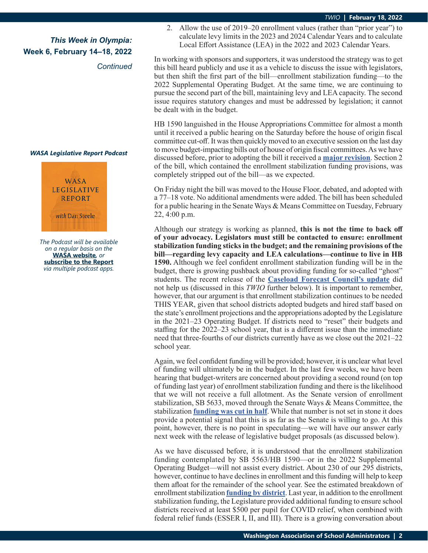*Continued*

#### *WASA Legislative Report Podcast*



*The Podcast will be available on a regular basis on the*  **[WASA website](http://app.leg.wa.gov/billsummary?Year=2021&BillNumber=1630)***, or* **[subscribe to the Report](http://app.leg.wa.gov/billsummary?Year=2021&BillNumber=1629)** *via multiple podcast apps.*

2. Allow the use of 2019–20 enrollment values (rather than "prior year") to calculate levy limits in the 2023 and 2024 Calendar Years and to calculate Local Effort Assistance (LEA) in the 2022 and 2023 Calendar Years.

In working with sponsors and supporters, it was understood the strategy was to get this bill heard publicly and use it as a vehicle to discuss the issue with legislators, but then shift the first part of the bill—enrollment stabilization funding—to the 2022 Supplemental Operating Budget. At the same time, we are continuing to pursue the second part of the bill, maintaining levy and LEA capacity. The second issue requires statutory changes and must be addressed by legislation; it cannot be dealt with in the budget.

HB 1590 languished in the House Appropriations Committee for almost a month until it received a public hearing on the Saturday before the house of origin fiscal committee cut-off. It was then quickly moved to an executive session on the last day to move budget-impacting bills out of house of origin fiscal committees. As we have discussed before, prior to adopting the bill it received a **[major revision](https://app.leg.wa.gov/committeeschedules/Home/Document/242034#toolbar=0&navpanes=0)**. Section 2 of the bill, which contained the enrollment stabilization funding provisions, was completely stripped out of the bill—as we expected.

On Friday night the bill was moved to the House Floor, debated, and adopted with a 77–18 vote. No additional amendments were added. The bill has been scheduled for a public hearing in the Senate Ways & Means Committee on Tuesday, February 22, 4:00 p.m.

Although our strategy is working as planned, **this is not the time to back off of your advocacy. Legislators must still be contacted to ensure: enrollment stabilization funding sticks in the budget; and the remaining provisions of the bill—regarding levy capacity and LEA calculations—continue to live in HB 1590.** Although we feel confident enrollment stabilization funding will be in the budget, there is growing pushback about providing funding for so-called "ghost" students. The recent release of the **[Caseload Forecast Council's update](http://www.cfc.wa.gov/Handouts/Common_Schools_Enrollment.pdf)** did not help us (discussed in this *TWIO* further below). It is important to remember, however, that our argument is that enrollment stabilization continues to be needed THIS YEAR, given that school districts adopted budgets and hired staff based on the state's enrollment projections and the appropriations adopted by the Legislature in the 2021–23 Operating Budget. If districts need to "reset" their budgets and staffing for the 2022–23 school year, that is a different issue than the immediate need that three-fourths of our districts currently have as we close out the 2021–22 school year.

Again, we feel confident funding will be provided; however, it is unclear what level of funding will ultimately be in the budget. In the last few weeks, we have been hearing that budget-writers are concerned about providing a second round (on top of funding last year) of enrollment stabilization funding and there is the likelihood that we will not receive a full allotment. As the Senate version of enrollment stabilization, SB 5633, moved through the Senate Ways & Means Committee, the stabilization **[funding was cut in half](https://app.leg.wa.gov/committeeschedules/Home/Document/241972#toolbar=0&navpanes=0)**. While that number is not set in stone it does provide a potential signal that this is as far as the Senate is willing to go. At this point, however, there is no point in speculating—we will have our answer early next week with the release of legislative budget proposals (as discussed below).

As we have discussed before, it is understood that the enrollment stabilization funding contemplated by SB 5563/HB 1590—or in the 2022 Supplemental Operating Budget—will not assist every district. About 230 of our 295 districts, however, continue to have declines in enrollment and this funding will help to keep them afloat for the remainder of the school year. See the estimated breakdown of enrollment stabilization **[funding by district](https://view.officeapps.live.com/op/view.aspx?src=https%3A%2F%2Fwasa-oly.org%2FWASA%2Fimages%2FWASA%2F4.0%2520Government%2520Relations%2F4.4.1%2520This%2520Week%2520In%2520Olympia%2520-%2520TWIO%2FDownload_Files%2FTWIO%25202022%2FSSB%25205563%2520enrollment%2520stabilization_waysandmeans.xlsx&wdOrigin=BROWSELINK)**. Last year, in addition to the enrollment stabilization funding, the Legislature provided additional funding to ensure school districts received at least \$500 per pupil for COVID relief, when combined with federal relief funds (ESSER I, II, and III). There is a growing conversation about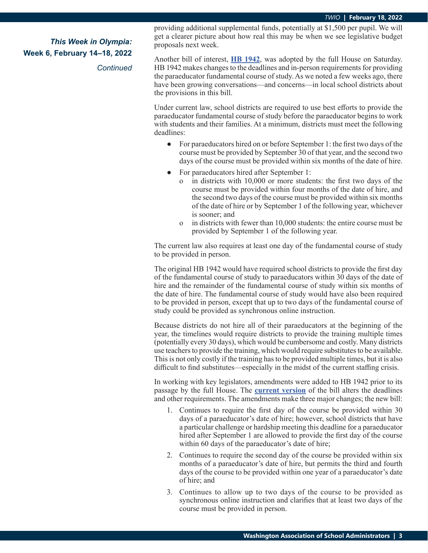*Continued*

providing additional supplemental funds, potentially at \$1,500 per pupil. We will get a clearer picture about how real this may be when we see legislative budget proposals next week.

Another bill of interest, **[HB 1942](https://app.leg.wa.gov/billsummary?BillNumber=1942&Initiative=false&Year=2021)**, was adopted by the full House on Saturday. HB 1942 makes changes to the deadlines and in-person requirements for providing the paraeducator fundamental course of study. As we noted a few weeks ago, there have been growing conversations—and concerns—in local school districts about the provisions in this bill.

Under current law, school districts are required to use best efforts to provide the paraeducator fundamental course of study before the paraeducator begins to work with students and their families. At a minimum, districts must meet the following deadlines:

- **●** For paraeducators hired on or before September 1: the first two days of the course must be provided by September 30 of that year, and the second two days of the course must be provided within six months of the date of hire.
- **●** For paraeducators hired after September 1:
	- in districts with 10,000 or more students: the first two days of the course must be provided within four months of the date of hire, and the second two days of the course must be provided within six months of the date of hire or by September 1 of the following year, whichever is sooner; and
	- o in districts with fewer than 10,000 students: the entire course must be provided by September 1 of the following year.

The current law also requires at least one day of the fundamental course of study to be provided in person.

The original HB 1942 would have required school districts to provide the first day of the fundamental course of study to paraeducators within 30 days of the date of hire and the remainder of the fundamental course of study within six months of the date of hire. The fundamental course of study would have also been required to be provided in person, except that up to two days of the fundamental course of study could be provided as synchronous online instruction.

Because districts do not hire all of their paraeducators at the beginning of the year, the timelines would require districts to provide the training multiple times (potentially every 30 days), which would be cumbersome and costly. Many districts use teachers to provide the training, which would require substitutes to be available. This is not only costly if the training has to be provided multiple times, but it is also difficult to find substitutes—especially in the midst of the current staffing crisis.

In working with key legislators, amendments were added to HB 1942 prior to its passage by the full House. The **[current version](https://lawfilesext.leg.wa.gov/biennium/2021-22/Pdf/Bills/House Bills/1942.E.pdf#page=1)** of the bill alters the deadlines and other requirements. The amendments make three major changes; the new bill:

- 1. Continues to require the first day of the course be provided within 30 days of a paraeducator's date of hire; however, school districts that have a particular challenge or hardship meeting this deadline for a paraeducator hired after September 1 are allowed to provide the first day of the course within 60 days of the paraeducator's date of hire;
- 2. Continues to require the second day of the course be provided within six months of a paraeducator's date of hire, but permits the third and fourth days of the course to be provided within one year of a paraeducator's date of hire; and
- 3. Continues to allow up to two days of the course to be provided as synchronous online instruction and clarifies that at least two days of the course must be provided in person.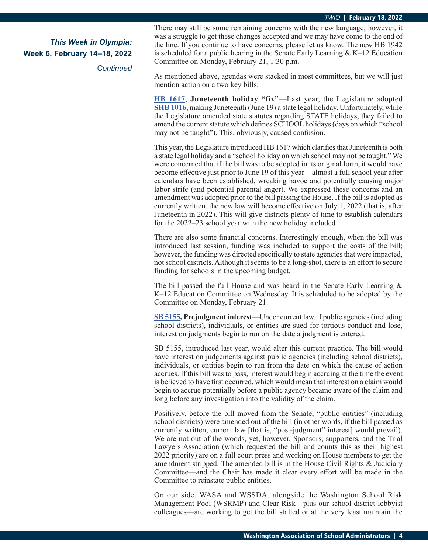*Continued*

There may still be some remaining concerns with the new language; however, it was a struggle to get these changes accepted and we may have come to the end of the line. If you continue to have concerns, please let us know. The new HB 1942 is scheduled for a public hearing in the Senate Early Learning  $& K-12$  Education Committee on Monday, February 21, 1:30 p.m.

As mentioned above, agendas were stacked in most committees, but we will just mention action on a two key bills:

**[HB 1617](https://app.leg.wa.gov/billsummary?BillNumber=1617&Initiative=false&Year=2021)**, **Juneteenth holiday "fix"—**Last year, the Legislature adopted **[SHB 1016](https://app.leg.wa.gov/billsummary?BillNumber=1016&Initiative=false&Year=2021)**, making Juneteenth (June 19) a state legal holiday. Unfortunately, while the Legislature amended state statutes regarding STATE holidays, they failed to amend the current statute which defines SCHOOL holidays (days on which "school may not be taught"). This, obviously, caused confusion.

This year, the Legislature introduced HB 1617 which clarifies that Juneteenth is both a state legal holiday and a "school holiday on which school may not be taught." We were concerned that if the bill was to be adopted in its original form, it would have become effective just prior to June 19 of this year—almost a full school year after calendars have been established, wreaking havoc and potentially causing major labor strife (and potential parental anger). We expressed these concerns and an amendment was adopted prior to the bill passing the House. If the bill is adopted as currently written, the new law will become effective on July 1, 2022 (that is, after Juneteenth in 2022). This will give districts plenty of time to establish calendars for the 2022–23 school year with the new holiday included.

There are also some financial concerns. Interestingly enough, when the bill was introduced last session, funding was included to support the costs of the bill; however, the funding was directed specifically to state agencies that were impacted, not school districts. Although it seems to be a long-shot, there is an effort to secure funding for schools in the upcoming budget.

The bill passed the full House and was heard in the Senate Early Learning & K–12 Education Committee on Wednesday. It is scheduled to be adopted by the Committee on Monday, February 21.

**[SB 5155](https://app.leg.wa.gov/billsummary?BillNumber=5155&Initiative=false&Year=2021), Prejudgment interest**—Under current law, if public agencies (including school districts), individuals, or entities are sued for tortious conduct and lose, interest on judgments begin to run on the date a judgment is entered.

SB 5155, introduced last year, would alter this current practice. The bill would have interest on judgements against public agencies (including school districts), individuals, or entities begin to run from the date on which the cause of action accrues. If this bill was to pass, interest would begin accruing at the time the event is believed to have first occurred, which would mean that interest on a claim would begin to accrue potentially before a public agency became aware of the claim and long before any investigation into the validity of the claim.

Positively, before the bill moved from the Senate, "public entities" (including school districts) were amended out of the bill (in other words, if the bill passed as currently written, current law [that is, "post-judgment" interest] would prevail). We are not out of the woods, yet, however. Sponsors, supporters, and the Trial Lawyers Association (which requested the bill and counts this as their highest 2022 priority) are on a full court press and working on House members to get the amendment stripped. The amended bill is in the House Civil Rights & Judiciary Committee—and the Chair has made it clear every effort will be made in the Committee to reinstate public entities.

On our side, WASA and WSSDA, alongside the Washington School Risk Management Pool (WSRMP) and Clear Risk—plus our school district lobbyist colleagues—are working to get the bill stalled or at the very least maintain the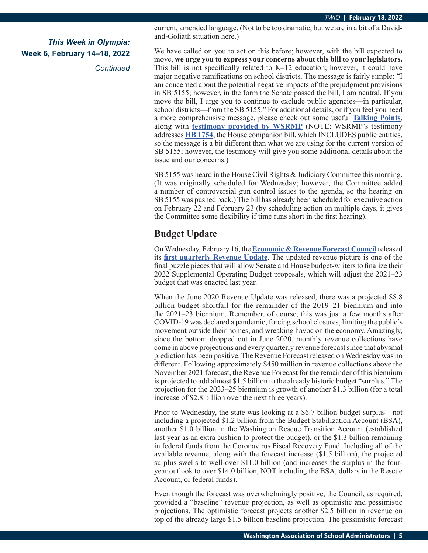*Continued*

current, amended language. (Not to be too dramatic, but we are in a bit of a Davidand-Goliath situation here.)

We have called on you to act on this before; however, with the bill expected to move, **we urge you to express your concerns about this bill to your legislators.** This bill is not specifically related to K–12 education; however, it could have major negative ramifications on school districts. The message is fairly simple: "I am concerned about the potential negative impacts of the prejudgment provisions in SB 5155; however, in the form the Senate passed the bill, I am neutral. If you move the bill, I urge you to continue to exclude public agencies—in particular, school districts—from the SB 5155." For additional details, or if you feel you need a more comprehensive message, please check out some useful **[Talking Points](https://wasa-oly.org/WASA/images/WASA/4.0%20Government%20Relations/4.4.1%20This%20Week%20In%20Olympia%20-%20TWIO/Download_Files/TWIO%202022/WRP%20on%205155.pdf)**, along with **[testimony provided by WSRMP](https://wasa-oly.org/WASA/images/WASA/4.0 Government Relations/4.4.1 This Week In Olympia - TWIO/Download_Files/TWIO 2022/WSRMP testimony 5155-1754.pdf)** (NOTE: WSRMP's testimony addresses **[HB 1754](https://app.leg.wa.gov/billsummary?BillNumber=1754&Initiative=false&Year=2021)**, the House companion bill, which INCLUDES public entities, so the message is a bit different than what we are using for the current version of SB 5155; however, the testimony will give you some additional details about the issue and our concerns.)

SB 5155 was heard in the House Civil Rights & Judiciary Committee this morning. (It was originally scheduled for Wednesday; however, the Committee added a number of controversial gun control issues to the agenda, so the hearing on SB 5155 was pushed back.) The bill has already been scheduled for executive action on February 22 and February 23 (by scheduling action on multiple days, it gives the Committee some flexibility if time runs short in the first hearing).

## **Budget Update**

On Wednesday, February 16, the **[Economic & Revenue Forecast Council](https://erfc.wa.gov/)** released its **[first quarterly Revenue Update](https://erfc.wa.gov/sites/default/files/public/documents/meetings/rev20220216.pdf)**. The updated revenue picture is one of the final puzzle pieces that will allow Senate and House budget-writers to finalize their 2022 Supplemental Operating Budget proposals, which will adjust the 2021–23 budget that was enacted last year.

When the June 2020 Revenue Update was released, there was a projected \$8.8 billion budget shortfall for the remainder of the 2019–21 biennium and into the 2021–23 biennium. Remember, of course, this was just a few months after COVID-19 was declared a pandemic, forcing school closures, limiting the public's movement outside their homes, and wreaking havoc on the economy. Amazingly, since the bottom dropped out in June 2020, monthly revenue collections have come in above projections and every quarterly revenue forecast since that abysmal prediction has been positive. The Revenue Forecast released on Wednesday was no different. Following approximately \$450 million in revenue collections above the November 2021 forecast, the Revenue Forecast for the remainder of this biennium is projected to add almost \$1.5 billion to the already historic budget "surplus." The projection for the 2023–25 biennium is growth of another \$1.3 billion (for a total increase of \$2.8 billion over the next three years).

Prior to Wednesday, the state was looking at a \$6.7 billion budget surplus—not including a projected \$1.2 billion from the Budget Stabilization Account (BSA), another \$1.0 billion in the Washington Rescue Transition Account (established last year as an extra cushion to protect the budget), or the \$1.3 billion remaining in federal funds from the Coronavirus Fiscal Recovery Fund. Including all of the available revenue, along with the forecast increase (\$1.5 billion), the projected surplus swells to well-over \$11.0 billion (and increases the surplus in the fouryear outlook to over \$14.0 billion, NOT including the BSA, dollars in the Rescue Account, or federal funds).

Even though the forecast was overwhelmingly positive, the Council, as required, provided a "baseline" revenue projection, as well as optimistic and pessimistic projections. The optimistic forecast projects another \$2.5 billion in revenue on top of the already large \$1.5 billion baseline projection. The pessimistic forecast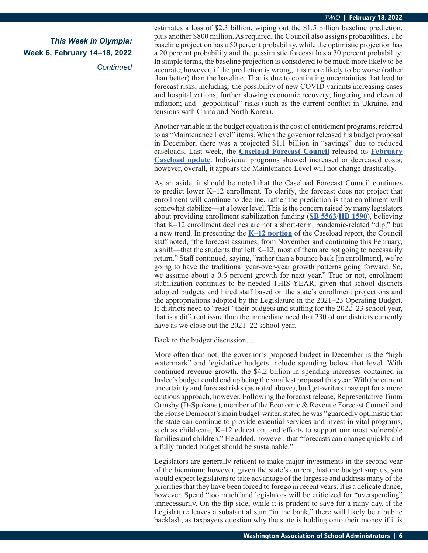*Continued*

estimates a loss of \$2.3 billion, wiping out the \$1.5 billion baseline prediction, plus another \$800 million. As required, the Council also assigns probabilities. The baseline projection has a 50 percent probability, while the optimistic projection has a 20 percent probability and the pessimistic forecast has a 30 percent probability. In simple terms, the baseline projection is considered to be much more likely to be accurate; however, if the prediction is wrong, it is more likely to be worse (rather than better) than the baseline. That is due to continuing uncertainties that lead to forecast risks, including: the possibility of new COVID variants increasing cases and hospitalizations, further slowing economic recovery; lingering and elevated inflation; and "geopolitical" risks (such as the current conflict in Ukraine, and tensions with China and North Korea).

Another variable in the budget equation is the cost of entitlement programs, referred to as "Maintenance Level" items. When the governor released his budget proposal in December, there was a projected \$1.1 billion in "savings" due to reduced caseloads. Last week, the **[Caseload Forecast Council](http://www.cfc.wa.gov/)** released its **[February](http://www.cfc.wa.gov/Documents/ForecastSummary.pdf) [Caseload update](http://www.cfc.wa.gov/Documents/ForecastSummary.pdf)**. Individual programs showed increased or decreased costs; however, overall, it appears the Maintenance Level will not change drastically.

As an aside, it should be noted that the Caseload Forecast Council continues to predict lower K–12 enrollment. To clarify, the forecast does not project that enrollment will continue to decline, rather the prediction is that enrollment will somewhat stabilize—at a lower level. This is the concern raised by many legislators about providing enrollment stabilization funding (**[SB 5563](https://app.leg.wa.gov/billsummary?BillNumber=5563&Initiative=false&Year=2021)**/**[HB 1590](https://app.leg.wa.gov/billsummary?BillNumber=1590&Initiative=false&Year=2021)**), believing that K–12 enrollment declines are not a short-term, pandemic-related "dip," but a new trend. In presenting the **[K–12 portion](http://www.cfc.wa.gov/Handouts/Common_Schools_Enrollment.pdf)** of the Caseload report, the Council staff noted, "the forecast assumes, from November and continuing this February, a shift—that the students that left K–12, most of them are not going to necessarily return." Staff continued, saying, "rather than a bounce back [in enrollment], we're going to have the traditional year-over-year growth patterns going forward. So, we assume about a 0.6 percent growth for next year." True or not, enrollment stabilization continues to be needed THIS YEAR, given that school districts adopted budgets and hired staff based on the state's enrollment projections and the appropriations adopted by the Legislature in the 2021–23 Operating Budget. If districts need to "reset" their budgets and staffing for the 2022–23 school year, that is a different issue than the immediate need that 230 of our districts currently have as we close out the 2021–22 school year.

Back to the budget discussion….

More often than not, the governor's proposed budget in December is the "high watermark" and legislative budgets include spending below that level. With continued revenue growth, the \$4.2 billion in spending increases contained in Inslee's budget could end up being the smallest proposal this year. With the current uncertainty and forecast risks (as noted above), budget-writers may opt for a more cautious approach, however. Following the forecast release, Representative Timm Ormsby (D-Spokane), member of the Economic & Revenue Forecast Council and the House Democrat's main budget-writer, stated he was "guardedly optimistic that the state can continue to provide essential services and invest in vital programs, such as child-care, K–12 education, and efforts to support our most vulnerable families and children." He added, however, that "forecasts can change quickly and a fully funded budget should be sustainable."

Legislators are generally reticent to make major investments in the second year of the biennium; however, given the state's current, historic budget surplus, you would expect legislators to take advantage of the largesse and address many of the priorities that they have been forced to forego in recent years. It is a delicate dance, however. Spend "too much"and legislators will be criticized for "overspending" unnecessarily. On the flip side, while it is prudent to save for a rainy day, if the Legislature leaves a substantial sum "in the bank," there will likely be a public backlash, as taxpayers question why the state is holding onto their money if it is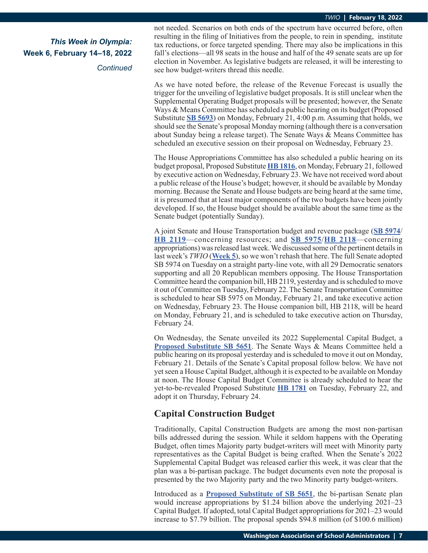*Continued*

not needed. Scenarios on both ends of the spectrum have occurred before, often resulting in the filing of Initiatives from the people, to rein in spending, institute tax reductions, or force targeted spending. There may also be implications in this fall's elections—all 98 seats in the house and half of the 49 senate seats are up for election in November. As legislative budgets are released, it will be interesting to see how budget-writers thread this needle.

As we have noted before, the release of the Revenue Forecast is usually the trigger for the unveiling of legislative budget proposals. It is still unclear when the Supplemental Operating Budget proposals will be presented; however, the Senate Ways & Means Committee has scheduled a public hearing on its budget (Proposed Substitute **[SB 5693](https://app.leg.wa.gov/billsummary?BillNumber=5693&Initiative=false&Year=2021)**) on Monday, February 21, 4:00 p.m. Assuming that holds, we should see the Senate's proposal Monday morning (although there is a conversation about Sunday being a release target). The Senate Ways & Means Committee has scheduled an executive session on their proposal on Wednesday, February 23.

The House Appropriations Committee has also scheduled a public hearing on its budget proposal, Proposed Substitute **[HB 1816](https://app.leg.wa.gov/billsummary?BillNumber=1816&Initiative=false&Year=2021)**, on Monday, February 21, followed by executive action on Wednesday, February 23. We have not received word about a public release of the House's budget; however, it should be available by Monday morning. Because the Senate and House budgets are being heard at the same time, it is presumed that at least major components of the two budgets have been jointly developed. If so, the House budget should be available about the same time as the Senate budget (potentially Sunday).

A joint Senate and House Transportation budget and revenue package (**[SB 5974](https://app.leg.wa.gov/billsummary?BillNumber=5974&Initiative=false&Year=2021)**/ **[HB 2119](https://app.leg.wa.gov/billsummary?BillNumber=2119&Initiative=false&Year=2021)**—concerning resources; and **[SB 5975](https://app.leg.wa.gov/billsummary?BillNumber=5975&Initiative=false&Year=2021)**/**[HB 2118](https://app.leg.wa.gov/billsummary?BillNumber=2118&Initiative=false&Year=2021)**—concerning appropriations) was released last week. We discussed some of the pertinent details in last week's *TWIO* (**[Week 5](https://wasa-oly.org/WASA/images/WASA/4.0 Government Relations/4.4.1 This Week In Olympia - TWIO/Download_Files/TWIO 2022/Week 5 TWIO.pdf)**), so we won't rehash that here. The full Senate adopted SB 5974 on Tuesday on a straight party-line vote, with all 29 Democratic senators supporting and all 20 Republican members opposing. The House Transportation Committee heard the companion bill, HB 2119, yesterday and is scheduled to move it out of Committee on Tuesday, February 22. The Senate Transportation Committee is scheduled to hear SB 5975 on Monday, February 21, and take executive action on Wednesday, February 23. The House companion bill, HB 2118, will be heard on Monday, February 21, and is scheduled to take executive action on Thursday, February 24.

On Wednesday, the Senate unveiled its 2022 Supplemental Capital Budget, a **[Proposed Substitute SB 5651](http://leap.leg.wa.gov/leap/budget/detail/2022/sc2022Supp.asp)**. The Senate Ways & Means Committee held a public hearing on its proposal yesterday and is scheduled to move it out on Monday, February 21. Details of the Senate's Capital proposal follow below. We have not yet seen a House Capital Budget, although it is expected to be available on Monday at noon. The House Capital Budget Committee is already scheduled to hear the yet-to-be-revealed Proposed Substitute **[HB 1781](https://app.leg.wa.gov/billsummary?BillNumber=1781&Initiative=false&Year=2021)** on Tuesday, February 22, and adopt it on Thursday, February 24.

## **Capital Construction Budget**

Traditionally, Capital Construction Budgets are among the most non-partisan bills addressed during the session. While it seldom happens with the Operating Budget, often times Majority party budget-writers will meet with Minority party representatives as the Capital Budget is being crafted. When the Senate's 2022 Supplemental Capital Budget was released earlier this week, it was clear that the plan was a bi-partisan package. The budget documents even note the proposal is presented by the two Majority party and the two Minority party budget-writers.

Introduced as a **[Proposed Substitute of SB 5651](http://leap.leg.wa.gov/leap/budget/detail/2022/sc2022Supp.asp)**, the bi-partisan Senate plan would increase appropriations by \$1.24 billion above the underlying 2021–23 Capital Budget. If adopted, total Capital Budget appropriations for 2021–23 would increase to \$7.79 billion. The proposal spends \$94.8 million (of \$100.6 million)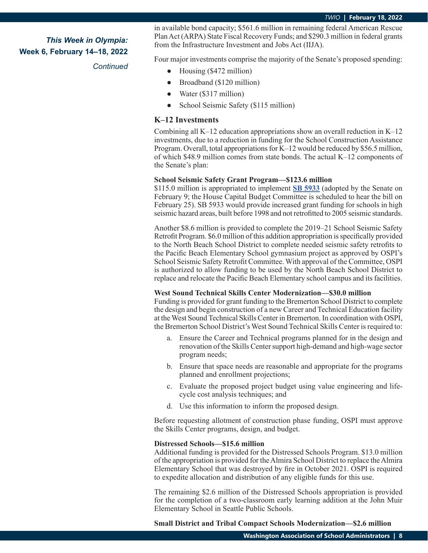#### *Continued*

in available bond capacity; \$561.6 million in remaining federal American Rescue Plan Act (ARPA) State Fiscal Recovery Funds; and \$290.3 million in federal grants from the Infrastructure Investment and Jobs Act (IIJA).

Four major investments comprise the majority of the Senate's proposed spending:

- **●** Housing (\$472 million)
- **●** Broadband (\$120 million)
- **●** Water (\$317 million)
- **●** School Seismic Safety (\$115 million)

#### **K–12 Investments**

Combining all K–12 education appropriations show an overall reduction in K–12 investments, due to a reduction in funding for the School Construction Assistance Program. Overall, total appropriations for K–12 would be reduced by \$56.5 million, of which \$48.9 million comes from state bonds. The actual K–12 components of the Senate's plan:

#### **School Seismic Safety Grant Program—\$123.6 million**

\$115.0 million is appropriated to implement **[SB 5933](https://app.leg.wa.gov/billsummary?BillNumber=5933&Initiative=false&Year=2021)** (adopted by the Senate on February 9; the House Capital Budget Committee is scheduled to hear the bill on February 25). SB 5933 would provide increased grant funding for schools in high seismic hazard areas, built before 1998 and not retrofitted to 2005 seismic standards.

Another \$8.6 million is provided to complete the 2019–21 School Seismic Safety Retrofit Program. \$6.0 million of this addition appropriation is specifically provided to the North Beach School District to complete needed seismic safety retrofits to the Pacific Beach Elementary School gymnasium project as approved by OSPI's School Seismic Safety Retrofit Committee. With approval of the Committee, OSPI is authorized to allow funding to be used by the North Beach School District to replace and relocate the Pacific Beach Elementary school campus and its facilities.

#### **West Sound Technical Skills Center Modernization—\$30.0 million**

Funding is provided for grant funding to the Bremerton School District to complete the design and begin construction of a new Career and Technical Education facility at the West Sound Technical Skills Center in Bremerton. In coordination with OSPI, the Bremerton School District's West Sound Technical Skills Center is required to:

- a. Ensure the Career and Technical programs planned for in the design and renovation of the Skills Center support high-demand and high-wage sector program needs;
- b. Ensure that space needs are reasonable and appropriate for the programs planned and enrollment projections;
- c. Evaluate the proposed project budget using value engineering and lifecycle cost analysis techniques; and
- d. Use this information to inform the proposed design.

Before requesting allotment of construction phase funding, OSPI must approve the Skills Center programs, design, and budget.

#### **Distressed Schools—\$15.6 million**

Additional funding is provided for the Distressed Schools Program. \$13.0 million of the appropriation is provided for the Almira School District to replace the Almira Elementary School that was destroyed by fire in October 2021. OSPI is required to expedite allocation and distribution of any eligible funds for this use.

The remaining \$2.6 million of the Distressed Schools appropriation is provided for the completion of a two-classroom early learning addition at the John Muir Elementary School in Seattle Public Schools.

**Small District and Tribal Compact Schools Modernization—\$2.6 million**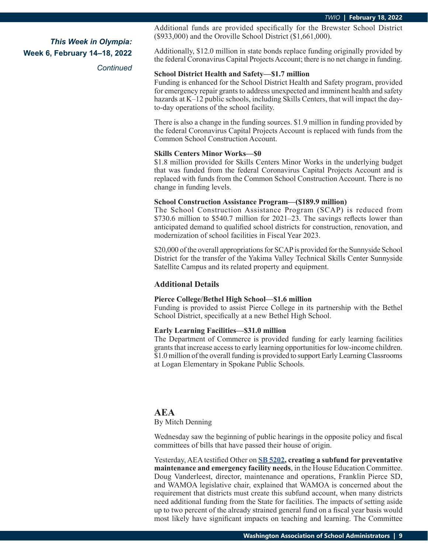*Continued*

Additional funds are provided specifically for the Brewster School District (\$933,000) and the Oroville School District (\$1,661,000).

Additionally, \$12.0 million in state bonds replace funding originally provided by the federal Coronavirus Capital Projects Account; there is no net change in funding.

#### **School District Health and Safety—\$1.7 million**

Funding is enhanced for the School District Health and Safety program, provided for emergency repair grants to address unexpected and imminent health and safety hazards at K–12 public schools, including Skills Centers, that will impact the dayto-day operations of the school facility.

There is also a change in the funding sources. \$1.9 million in funding provided by the federal Coronavirus Capital Projects Account is replaced with funds from the Common School Construction Account.

#### **Skills Centers Minor Works—\$0**

\$1.8 million provided for Skills Centers Minor Works in the underlying budget that was funded from the federal Coronavirus Capital Projects Account and is replaced with funds from the Common School Construction Account. There is no change in funding levels.

#### **School Construction Assistance Program—(\$189.9 million)**

The School Construction Assistance Program (SCAP) is reduced from \$730.6 million to \$540.7 million for 2021–23. The savings reflects lower than anticipated demand to qualified school districts for construction, renovation, and modernization of school facilities in Fiscal Year 2023.

\$20,000 of the overall appropriations for SCAP is provided for the Sunnyside School District for the transfer of the Yakima Valley Technical Skills Center Sunnyside Satellite Campus and its related property and equipment.

#### **Additional Details**

#### **Pierce College/Bethel High School—\$1.6 million**

Funding is provided to assist Pierce College in its partnership with the Bethel School District, specifically at a new Bethel High School.

#### **Early Learning Facilities—\$31.0 million**

The Department of Commerce is provided funding for early learning facilities grants that increase access to early learning opportunities for low-income children. \$1.0 million of the overall funding is provided to support Early Learning Classrooms at Logan Elementary in Spokane Public Schools.

#### **AEA**

#### By Mitch Denning

Wednesday saw the beginning of public hearings in the opposite policy and fiscal committees of bills that have passed their house of origin.

Yesterday, AEA testified Other on **[SB 5202](https://app.leg.wa.gov/billsummary?BillNumber=5202&Initiative=false&Year=2021), creating a subfund for preventative maintenance and emergency facility needs**, in the House Education Committee. Doug Vanderleest, director, maintenance and operations, Franklin Pierce SD, and WAMOA legislative chair, explained that WAMOA is concerned about the requirement that districts must create this subfund account, when many districts need additional funding from the State for facilities. The impacts of setting aside up to two percent of the already strained general fund on a fiscal year basis would most likely have significant impacts on teaching and learning. The Committee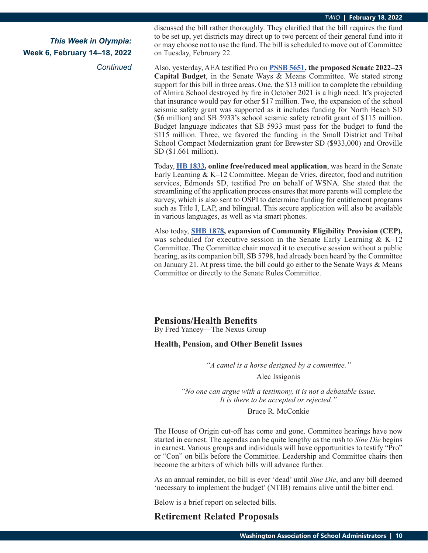*Continued*

discussed the bill rather thoroughly. They clarified that the bill requires the fund to be set up, yet districts may direct up to two percent of their general fund into it or may choose not to use the fund. The bill is scheduled to move out of Committee on Tuesday, February 22.

Also, yesterday, AEA testified Pro on **[PSSB 5651](https://app.leg.wa.gov/billsummary?BillNumber=5651&Initiative=false&Year=2021), the proposed Senate 2022–23 Capital Budget**, in the Senate Ways & Means Committee. We stated strong support for this bill in three areas. One, the \$13 million to complete the rebuilding of Almira School destroyed by fire in October 2021 is a high need. It's projected that insurance would pay for other \$17 million. Two, the expansion of the school seismic safety grant was supported as it includes funding for North Beach SD (\$6 million) and SB 5933's school seismic safety retrofit grant of \$115 million. Budget language indicates that SB 5933 must pass for the budget to fund the \$115 million. Three, we favored the funding in the Small District and Tribal School Compact Modernization grant for Brewster SD (\$933,000) and Oroville SD (\$1.661 million).

Today, **[HB 1833](https://app.leg.wa.gov/billsummary?BillNumber=1833&Year=2021&Initiative=false), online free/reduced meal application**, was heard in the Senate Early Learning & K–12 Committee. Megan de Vries, director, food and nutrition services, Edmonds SD, testified Pro on behalf of WSNA. She stated that the streamlining of the application process ensures that more parents will complete the survey, which is also sent to OSPI to determine funding for entitlement programs such as Title I, LAP, and bilingual. This secure application will also be available in various languages, as well as via smart phones.

Also today, **[SHB 1878](https://app.leg.wa.gov/billsummary?BillNumber=1878&Initiative=false&Year=2021), expansion of Community Eligibility Provision (CEP),** was scheduled for executive session in the Senate Early Learning  $& K-12$ Committee. The Committee chair moved it to executive session without a public hearing, as its companion bill, SB 5798, had already been heard by the Committee on January 21. At press time, the bill could go either to the Senate Ways & Means Committee or directly to the Senate Rules Committee.

## **Pensions/Health Benefits**

By Fred Yancey—The Nexus Group

#### **Health, Pension, and Other Benefit Issues**

*"A camel is a horse designed by a committee."*

#### Alec Issigonis

*"No one can argue with a testimony, it is not a debatable issue. It is there to be accepted or rejected."*

#### Bruce R. McConkie

The House of Origin cut-off has come and gone. Committee hearings have now started in earnest. The agendas can be quite lengthy as the rush to *Sine Die* begins in earnest. Various groups and individuals will have opportunities to testify "Pro" or "Con" on bills before the Committee. Leadership and Committee chairs then become the arbiters of which bills will advance further.

As an annual reminder, no bill is ever 'dead' until *Sine Die*, and any bill deemed 'necessary to implement the budget' (NTIB) remains alive until the bitter end.

Below is a brief report on selected bills.

## **Retirement Related Proposals**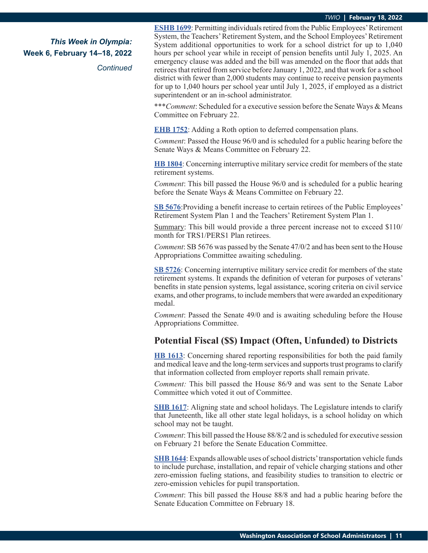#### *TWIO* **| February 18, 2022**

*This Week in Olympia:* **Week 6, February 14–18, 2022**

*Continued*

**ES[HB 1699](https://app.leg.wa.gov/billsummary?BillNumber=1699&Initiative=false&Year=2021)**: Permitting individuals retired from the Public Employees' Retirement System, the Teachers' Retirement System, and the School Employees' Retirement System additional opportunities to work for a school district for up to 1,040 hours per school year while in receipt of pension benefits until July 1, 2025. An emergency clause was added and the bill was amended on the floor that adds that retirees that retired from service before January 1, 2022, and that work for a school district with fewer than 2,000 students may continue to receive pension payments for up to 1,040 hours per school year until July 1, 2025, if employed as a district superintendent or an in-school administrator.

\*\*\**Comment*: Scheduled for a executive session before the Senate Ways & Means Committee on February 22.

**E[HB 1752](https://app.leg.wa.gov/billsummary?BillNumber=1752&Initiative=false&Year=2021)**: Adding a Roth option to deferred compensation plans.

*Comment*: Passed the House 96/0 and is scheduled for a public hearing before the Senate Ways & Means Committee on February 22.

**[HB 1804](https://app.leg.wa.gov/billsummary?BillNumber=1804&Year=2021&Initiative=false)**: Concerning interruptive military service credit for members of the state retirement systems.

*Comment*: This bill passed the House 96/0 and is scheduled for a public hearing before the Senate Ways & Means Committee on February 22.

**[SB 5676](https://app.leg.wa.gov/billsummary?BillNumber=5676&Initiative=false&Year=2021)**:Providing a benefit increase to certain retirees of the Public Employees' Retirement System Plan 1 and the Teachers' Retirement System Plan 1.

Summary: This bill would provide a three percent increase not to exceed \$110/ month for TRS1/PERS1 Plan retirees.

*Comment*: SB 5676 was passed by the Senate 47/0/2 and has been sent to the House Appropriations Committee awaiting scheduling.

**[SB 5726](https://app.leg.wa.gov/billsummary?BillNumber=5726&Initiative=false&Year=2021)**: Concerning interruptive military service credit for members of the state retirement systems. It expands the definition of veteran for purposes of veterans' benefits in state pension systems, legal assistance, scoring criteria on civil service exams, and other programs, to include members that were awarded an expeditionary medal.

*Comment*: Passed the Senate 49/0 and is awaiting scheduling before the House Appropriations Committee.

#### **Potential Fiscal (\$\$) Impact (Often, Unfunded) to Districts**

**[HB 1613](https://app.leg.wa.gov/billsummary?BillNumber=1613&Initiative=false&Year=2021)**: Concerning shared reporting responsibilities for both the paid family and medical leave and the long-term services and supports trust programs to clarify that information collected from employer reports shall remain private.

*Comment:* This bill passed the House 86/9 and was sent to the Senate Labor Committee which voted it out of Committee.

**S[HB 1617](https://app.leg.wa.gov/billsummary?BillNumber=1617&Initiative=false&Year=2021)**: Aligning state and school holidays. The Legislature intends to clarify that Juneteenth, like all other state legal holidays, is a school holiday on which school may not be taught.

*Comment*: This bill passed the House 88/8/2 and is scheduled for executive session on February 21 before the Senate Education Committee.

**[SHB 1644](https://app.leg.wa.gov/billsummary?BillNumber=1644&Initiative=false&Year=2021)**: Expands allowable uses of school districts' transportation vehicle funds to include purchase, installation, and repair of vehicle charging stations and other zero-emission fueling stations, and feasibility studies to transition to electric or zero-emission vehicles for pupil transportation.

*Comment*: This bill passed the House 88/8 and had a public hearing before the Senate Education Committee on February 18.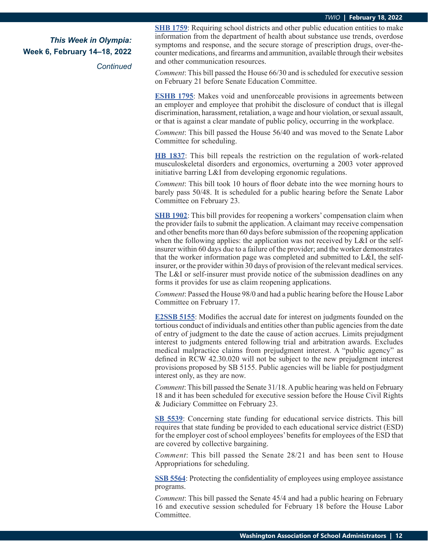*Continued*

**S[HB 1759](https://app.leg.wa.gov/billsummary?BillNumber=1759&Initiative=false&Year=2021)**: Requiring school districts and other public education entities to make information from the department of health about substance use trends, overdose symptoms and response, and the secure storage of prescription drugs, over-thecounter medications, and firearms and ammunition, available through their websites and other communication resources.

*Comment*: This bill passed the House 66/30 and is scheduled for executive session on February 21 before Senate Education Committee.

**E[SHB 1795](https://app.leg.wa.gov/billsummary?BillNumber=1795&Initiative=false&Year=2021)**: Makes void and unenforceable provisions in agreements between an employer and employee that prohibit the disclosure of conduct that is illegal discrimination, harassment, retaliation, a wage and hour violation, or sexual assault, or that is against a clear mandate of public policy, occurring in the workplace.

*Comment*: This bill passed the House 56/40 and was moved to the Senate Labor Committee for scheduling.

**[HB 1837](https://app.leg.wa.gov/billsummary?BillNumber=1837&Initiative=false&Year=2021)**: This bill repeals the restriction on the regulation of work-related musculoskeletal disorders and ergonomics, overturning a 2003 voter approved initiative barring L&I from developing ergonomic regulations.

*Comment*: This bill took 10 hours of floor debate into the wee morning hours to barely pass 50/48. It is scheduled for a public hearing before the Senate Labor Committee on February 23.

**[SHB 1902](https://app.leg.wa.gov/billsummary?BillNumber=1902&Initiative=false&Year=2021)**: This bill provides for reopening a workers' compensation claim when the provider fails to submit the application. A claimant may receive compensation and other benefits more than 60 days before submission of the reopening application when the following applies: the application was not received by L&I or the selfinsurer within 60 days due to a failure of the provider; and the worker demonstrates that the worker information page was completed and submitted to L&I, the selfinsurer, or the provider within 30 days of provision of the relevant medical services. The L&I or self-insurer must provide notice of the submission deadlines on any forms it provides for use as claim reopening applications.

*Comment*: Passed the House 98/0 and had a public hearing before the House Labor Committee on February 17.

**[E2SSB 5155](https://app.leg.wa.gov/billsummary?BillNumber=5155&Initiative=false&Year=2021)**: Modifies the accrual date for interest on judgments founded on the tortious conduct of individuals and entities other than public agencies from the date of entry of judgment to the date the cause of action accrues. Limits prejudgment interest to judgments entered following trial and arbitration awards. Excludes medical malpractice claims from prejudgment interest. A "public agency" as defined in RCW 42.30.020 will not be subject to the new prejudgment interest provisions proposed by SB 5155. Public agencies will be liable for postjudgment interest only, as they are now.

*Comment*: This bill passed the Senate 31/18. A public hearing was held on February 18 and it has been scheduled for executive session before the House Civil Rights & Judiciary Committee on February 23.

**[SB 5539](https://app.leg.wa.gov/billsummary?BillNumber=5539&Initiative=false&Year=2021)**: Concerning state funding for educational service districts. This bill requires that state funding be provided to each educational service district (ESD) for the employer cost of school employees' benefits for employees of the ESD that are covered by collective bargaining.

*Comment*: This bill passed the Senate 28/21 and has been sent to House Appropriations for scheduling.

**[SSB 5564](https://app.leg.wa.gov/billsummary?BillNumber=5564&Initiative=false&Year=2021)**: Protecting the confidentiality of employees using employee assistance programs.

*Comment*: This bill passed the Senate 45/4 and had a public hearing on February 16 and executive session scheduled for February 18 before the House Labor Committee.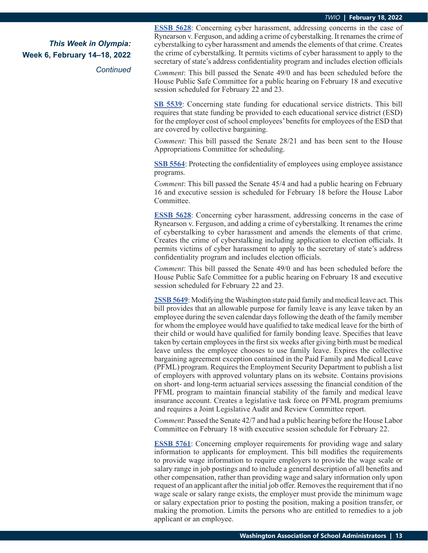*Continued*

**E[SSB 5628](https://app.leg.wa.gov/billsummary?BillNumber=5628&Initiative=false&Year=2021)**: Concerning cyber harassment, addressing concerns in the case of Rynearson v. Ferguson, and adding a crime of cyberstalking. It renames the crime of cyberstalking to cyber harassment and amends the elements of that crime. Creates the crime of cyberstalking. It permits victims of cyber harassment to apply to the secretary of state's address confidentiality program and includes election officials

*Comment*: This bill passed the Senate 49/0 and has been scheduled before the House Public Safe Committee for a public hearing on February 18 and executive session scheduled for February 22 and 23.

**[SB 5539](https://app.leg.wa.gov/billsummary?BillNumber=5539&Initiative=false&Year=2021)**: Concerning state funding for educational service districts. This bill requires that state funding be provided to each educational service district (ESD) for the employer cost of school employees' benefits for employees of the ESD that are covered by collective bargaining.

*Comment*: This bill passed the Senate 28/21 and has been sent to the House Appropriations Committee for scheduling.

**[SSB 5564](https://app.leg.wa.gov/billsummary?BillNumber=5564&Initiative=false&Year=2021)**: Protecting the confidentiality of employees using employee assistance programs.

*Comment*: This bill passed the Senate 45/4 and had a public hearing on February 16 and executive session is scheduled for February 18 before the House Labor Committee.

**[ESSB 5628](https://app.leg.wa.gov/billsummary?BillNumber=5628&Initiative=false&Year=2021)**: Concerning cyber harassment, addressing concerns in the case of Rynearson v. Ferguson, and adding a crime of cyberstalking. It renames the crime of cyberstalking to cyber harassment and amends the elements of that crime. Creates the crime of cyberstalking including application to election officials. It permits victims of cyber harassment to apply to the secretary of state's address confidentiality program and includes election officials.

*Comment*: This bill passed the Senate 49/0 and has been scheduled before the House Public Safe Committee for a public hearing on February 18 and executive session scheduled for February 22 and 23.

**[2SSB 5649](https://app.leg.wa.gov/billsummary?BillNumber=5649&Initiative=false&Year=2021)**: Modifying the Washington state paid family and medical leave act. This bill provides that an allowable purpose for family leave is any leave taken by an employee during the seven calendar days following the death of the family member for whom the employee would have qualified to take medical leave for the birth of their child or would have qualified for family bonding leave. Specifies that leave taken by certain employees in the first six weeks after giving birth must be medical leave unless the employee chooses to use family leave. Expires the collective bargaining agreement exception contained in the Paid Family and Medical Leave (PFML) program. Requires the Employment Security Department to publish a list of employers with approved voluntary plans on its website. Contains provisions on short- and long-term actuarial services assessing the financial condition of the PFML program to maintain financial stability of the family and medical leave insurance account. Creates a legislative task force on PFML program premiums and requires a Joint Legislative Audit and Review Committee report.

*Comment*: Passed the Senate 42/7 and had a public hearing before the House Labor Committee on February 18 with executive session schedule for February 22.

**[ESSB 5761](https://app.leg.wa.gov/billsummary?BillNumber=5761&Initiative=false&Year=2021)**: Concerning employer requirements for providing wage and salary information to applicants for employment. This bill modifies the requirements to provide wage information to require employers to provide the wage scale or salary range in job postings and to include a general description of all benefits and other compensation, rather than providing wage and salary information only upon request of an applicant after the initial job offer. Removes the requirement that if no wage scale or salary range exists, the employer must provide the minimum wage or salary expectation prior to posting the position, making a position transfer, or making the promotion. Limits the persons who are entitled to remedies to a job applicant or an employee.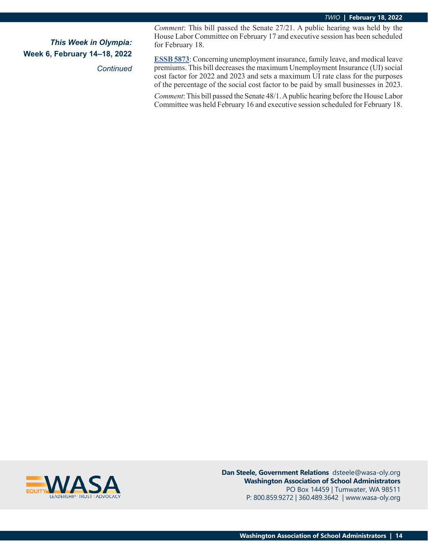*Continued*

*Comment*: This bill passed the Senate 27/21. A public hearing was held by the House Labor Committee on February 17 and executive session has been scheduled for February 18.

**ES[SB 5873](https://app.leg.wa.gov/billsummary?BillNumber=5873&Initiative=false&Year=2021)**: Concerning unemployment insurance, family leave, and medical leave premiums. This bill decreases the maximum Unemployment Insurance (UI) social cost factor for 2022 and 2023 and sets a maximum UI rate class for the purposes of the percentage of the social cost factor to be paid by small businesses in 2023.

*Comment*: This bill passed the Senate 48/1. A public hearing before the House Labor Committee was held February 16 and executive session scheduled for February 18.



**Dan Steele, Government Relations** dsteele@wasa-oly.org **Washington Association of School Administrators** PO Box 14459 | Tumwater, WA 98511 P: 800.859.9272 | 360.489.3642 | www.wasa-oly.org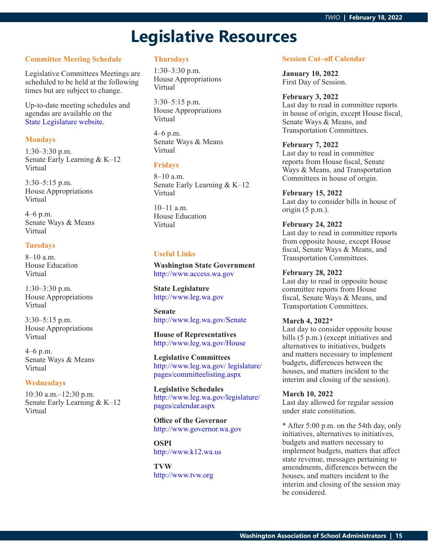## **Legislative Resources**

#### **Committee Meeting Schedule**

Legislative Committees Meetings are scheduled to be held at the following times but are subject to change.

Up-to-date meeting schedules and agendas are available on the [State Legislature website.](http://www.leg.wa.gov/legislature/pages/calendar.aspx)

#### **Mondays**

1:30–3:30 p.m. Senate Early Learning & K–12 Virtual

3:30–5:15 p.m. House Appropriations Virtual

4–6 p.m. Senate Ways & Means Virtual

#### **Tuesdays**

8–10 a.m. House Education Virtual

1:30–3:30 p.m. House Appropriations Virtual

3:30–5:15 p.m. House Appropriations Virtual

4–6 p.m. Senate Ways & Means Virtual

#### **Wednesdays**

10:30 a.m.–12:30 p.m. Senate Early Learning & K–12 Virtual

#### **Thursdays**

1:30–3:30 p.m. House Appropriations Virtual

3:30–5:15 p.m. House Appropriations Virtual

4–6 p.m. Senate Ways & Means Virtual

#### **Fridays**

8–10 a.m. Senate Early Learning & K–12 Virtual

10–11 a.m. House Education Virtual

#### **Useful Links**

**Washington State Government** <http://www.access.wa.gov>

**State Legislature** <http://www.leg.wa.gov>

**Senate** <http://www.leg.wa.gov/Senate>

**House of Representatives** <http://www.leg.wa.gov/House>

**Legislative Committees** [http://www.leg.wa.gov/ legislature/](http://www.leg.wa.gov/ legislature/pages/committeelisting.aspx) [pages/committeelisting.aspx](http://www.leg.wa.gov/ legislature/pages/committeelisting.aspx)

**Legislative Schedules** [http://www.leg.wa.gov/legislature/](http://www.leg.wa.gov/legislature/pages/calendar.aspx) [pages/calendar.aspx](http://www.leg.wa.gov/legislature/pages/calendar.aspx)

**Office of the Governor** <http://www.governor.wa.gov>

**OSPI** <http://www.k12.wa.us>

**TVW** <http://www.tvw.org>

#### **Session Cut–off Calendar**

**January 10, 2022** First Day of Session.

#### **February 3, 2022**

Last day to read in committee reports in house of origin, except House fiscal, Senate Ways & Means, and Transportation Committees.

#### **February 7, 2022**

Last day to read in committee reports from House fiscal, Senate Ways & Means, and Transportation Committees in house of origin.

#### **February 15, 2022**

Last day to consider bills in house of origin (5 p.m.).

#### **February 24, 2022**

Last day to read in committee reports from opposite house, except House fiscal, Senate Ways & Means, and Transportation Committees.

#### **February 28, 2022**

Last day to read in opposite house committee reports from House fiscal, Senate Ways & Means, and Transportation Committees.

#### **March 4, 2022\***

Last day to consider opposite house bills (5 p.m.) (except initiatives and alternatives to initiatives, budgets and matters necessary to implement budgets, differences between the houses, and matters incident to the interim and closing of the session).

#### **March 10, 2022**

Last day allowed for regular session under state constitution.

\* After 5:00 p.m. on the 54th day, only initiatives, alternatives to initiatives, budgets and matters necessary to implement budgets, matters that affect state revenue, messages pertaining to amendments, differences between the houses, and matters incident to the interim and closing of the session may be considered.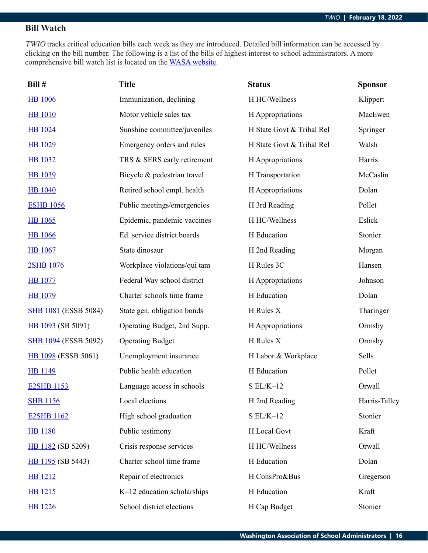## **Bill Watch**

TWIO tracks critical education bills each week as they are introduced. Detailed bill information can be accessed by clicking on the bill number. The following is a list of the bills of highest interest to school administrators. A more comprehensive bill watch list is located on the [WASA website](http://wasa-oly.org/wasa/WASA/Government_Relations/Action_Center/2019_WASA_Bill_Watch/WASA/4_0_Government_Relations/Materials/Bill_Watch/Bill_Watch.aspx?hkey=eee1bb39-a099-43b7-8a1b-1262f2966f1a).

| Bill #                      | <b>Title</b>                 | <b>Status</b>             | <b>Sponsor</b> |
|-----------------------------|------------------------------|---------------------------|----------------|
| <b>HB</b> 1006              | Immunization, declining      | H HC/Wellness             | Klippert       |
| <b>HB</b> 1010              | Motor vehicle sales tax      | H Appropriations          | MacEwen        |
| <b>HB</b> 1024              | Sunshine committee/juveniles | H State Govt & Tribal Rel | Springer       |
| <b>HB</b> 1029              | Emergency orders and rules   | H State Govt & Tribal Rel | Walsh          |
| <b>HB</b> 1032              | TRS & SERS early retirement  | H Appropriations          | Harris         |
| <b>HB</b> 1039              | Bicycle & pedestrian travel  | H Transportation          | McCaslin       |
| <b>HB</b> 1040              | Retired school empl. health  | H Appropriations          | Dolan          |
| <b>ESHB 1056</b>            | Public meetings/emergencies  | H 3rd Reading             | Pollet         |
| <b>HB</b> 1065              | Epidemic, pandemic vaccines  | H HC/Wellness             | Eslick         |
| <b>HB</b> 1066              | Ed. service district boards  | H Education               | Stonier        |
| <b>HB</b> 1067              | State dinosaur               | H 2nd Reading             | Morgan         |
| 2SHB 1076                   | Workplace violations/qui tam | H Rules 3C                | Hansen         |
| <b>HB</b> 1077              | Federal Way school district  | H Appropriations          | Johnson        |
| <b>HB</b> 1079              | Charter schools time frame   | H Education               | Dolan          |
| <b>SHB 1081</b> (ESSB 5084) | State gen. obligation bonds  | H Rules X                 | Tharinger      |
| HB 1093 (SB 5091)           | Operating Budget, 2nd Supp.  | H Appropriations          | Ormsby         |
| <b>SHB 1094 (ESSB 5092)</b> | <b>Operating Budget</b>      | H Rules X                 | Ormsby         |
| <b>HB</b> 1098 (ESSB 5061)  | Unemployment insurance       | H Labor & Workplace       | Sells          |
| <b>HB</b> 1149              | Public health education      | H Education               | Pollet         |
| <b>E2SHB 1153</b>           | Language access in schools   | $S EL/K-12$               | Orwall         |
| <b>SHB 1156</b>             | Local elections              | H 2nd Reading             | Harris-Talley  |
| <b>E2SHB 1162</b>           | High school graduation       | $SL/K-12$                 | Stonier        |
| <b>HB</b> 1180              | Public testimony             | H Local Govt              | Kraft          |
| HB 1182 (SB 5209)           | Crisis response services     | H HC/Wellness             | Orwall         |
| HB 1195 (SB 5443)           | Charter school time frame    | H Education               | Dolan          |
| HB 1212                     | Repair of electronics        | H ConsPro&Bus             | Gregerson      |
| HB 1215                     | K-12 education scholarships  | H Education               | Kraft          |
| <b>HB</b> 1226              | School district elections    | H Cap Budget              | Stonier        |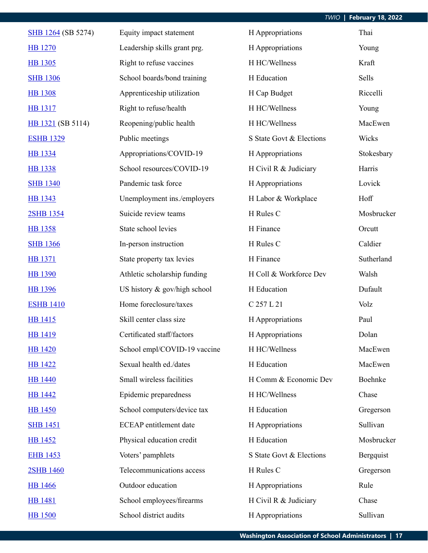| SHB 1264 (SB 5274) | Equity impact statement       | H Appropriations         | Thai       |
|--------------------|-------------------------------|--------------------------|------------|
| <b>HB</b> 1270     | Leadership skills grant prg.  | H Appropriations         | Young      |
| <b>HB</b> 1305     | Right to refuse vaccines      | H HC/Wellness            | Kraft      |
| <b>SHB 1306</b>    | School boards/bond training   | H Education              | Sells      |
| <b>HB</b> 1308     | Apprenticeship utilization    | H Cap Budget             | Riccelli   |
| <b>HB</b> 1317     | Right to refuse/health        | H HC/Wellness            | Young      |
| HB 1321 (SB 5114)  | Reopening/public health       | H HC/Wellness            | MacEwen    |
| <b>ESHB 1329</b>   | Public meetings               | S State Govt & Elections | Wicks      |
| HB 1334            | Appropriations/COVID-19       | H Appropriations         | Stokesbary |
| <b>HB</b> 1338     | School resources/COVID-19     | H Civil R & Judiciary    | Harris     |
| <b>SHB 1340</b>    | Pandemic task force           | H Appropriations         | Lovick     |
| HB 1343            | Unemployment ins./employers   | H Labor & Workplace      | Hoff       |
| 2SHB 1354          | Suicide review teams          | H Rules C                | Mosbrucker |
| <b>HB</b> 1358     | State school levies           | H Finance                | Orcutt     |
| <b>SHB 1366</b>    | In-person instruction         | H Rules C                | Caldier    |
| <b>HB</b> 1371     | State property tax levies     | H Finance                | Sutherland |
| <b>HB</b> 1390     | Athletic scholarship funding  | H Coll & Workforce Dev   | Walsh      |
| <b>HB</b> 1396     | US history & gov/high school  | H Education              | Dufault    |
| <b>ESHB 1410</b>   | Home foreclosure/taxes        | C 257 L 21               | Volz       |
| HB 1415            | Skill center class size       | H Appropriations         | Paul       |
| <b>HB</b> 1419     | Certificated staff/factors    | H Appropriations         | Dolan      |
| <b>HB</b> 1420     | School empl/COVID-19 vaccine  | H HC/Wellness            | MacEwen    |
| <b>HB</b> 1422     | Sexual health ed./dates       | H Education              | MacEwen    |
| <b>HB</b> 1440     | Small wireless facilities     | H Comm & Economic Dev    | Boehnke    |
| <b>HB</b> 1442     | Epidemic preparedness         | H HC/Wellness            | Chase      |
| <b>HB</b> 1450     | School computers/device tax   | H Education              | Gregerson  |
| <b>SHB 1451</b>    | <b>ECEAP</b> entitlement date | H Appropriations         | Sullivan   |
| <b>HB</b> 1452     | Physical education credit     | H Education              | Mosbrucker |
| <b>EHB 1453</b>    | Voters' pamphlets             | S State Govt & Elections | Bergquist  |
| 2SHB 1460          | Telecommunications access     | H Rules C                | Gregerson  |
| <b>HB</b> 1466     | Outdoor education             | H Appropriations         | Rule       |
| <b>HB</b> 1481     | School employees/firearms     | H Civil R & Judiciary    | Chase      |
| <b>HB</b> 1500     | School district audits        | H Appropriations         | Sullivan   |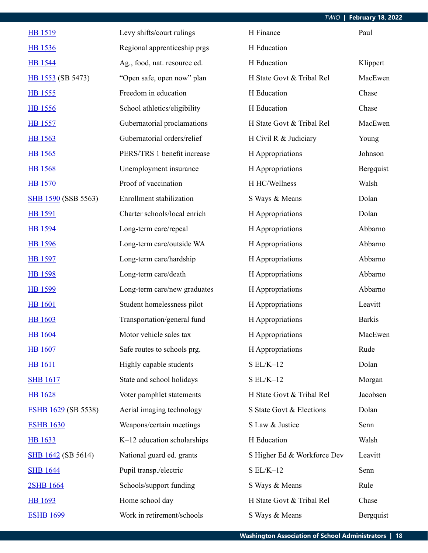| <b>HB 1519</b>             | Levy shifts/court rulings       | H Finance                   | Paul          |
|----------------------------|---------------------------------|-----------------------------|---------------|
| <b>HB</b> 1536             | Regional apprenticeship prgs    | H Education                 |               |
| <b>HB</b> 1544             | Ag., food, nat. resource ed.    | H Education                 | Klippert      |
| HB 1553 (SB 5473)          | "Open safe, open now" plan      | H State Govt & Tribal Rel   | MacEwen       |
| HB 1555                    | Freedom in education            | H Education                 | Chase         |
| <b>HB</b> 1556             | School athletics/eligibility    | H Education                 | Chase         |
| <b>HB</b> 1557             | Gubernatorial proclamations     | H State Govt & Tribal Rel   | MacEwen       |
| <b>HB</b> 1563             | Gubernatorial orders/relief     | H Civil R & Judiciary       | Young         |
| HB 1565                    | PERS/TRS 1 benefit increase     | H Appropriations            | Johnson       |
| <b>HB</b> 1568             | Unemployment insurance          | H Appropriations            | Bergquist     |
| <b>HB</b> 1570             | Proof of vaccination            | H HC/Wellness               | Walsh         |
| <b>SHB 1590 (SSB 5563)</b> | <b>Enrollment</b> stabilization | S Ways & Means              | Dolan         |
| <b>HB</b> 1591             | Charter schools/local enrich    | H Appropriations            | Dolan         |
| <b>HB</b> 1594             | Long-term care/repeal           | H Appropriations            | Abbarno       |
| <b>HB</b> 1596             | Long-term care/outside WA       | H Appropriations            | Abbarno       |
| <b>HB</b> 1597             | Long-term care/hardship         | H Appropriations            | Abbarno       |
| HB 1598                    | Long-term care/death            | H Appropriations            | Abbarno       |
| HB 1599                    | Long-term care/new graduates    | H Appropriations            | Abbarno       |
| <b>HB</b> 1601             | Student homelessness pilot      | H Appropriations            | Leavitt       |
| <b>HB</b> 1603             | Transportation/general fund     | H Appropriations            | <b>Barkis</b> |
| <b>HB</b> 1604             | Motor vehicle sales tax         | H Appropriations            | MacEwen       |
| <b>HB</b> 1607             | Safe routes to schools prg.     | H Appropriations            | Rude          |
| <b>HB</b> 1611             | Highly capable students         | $SL/K-12$                   | Dolan         |
| <b>SHB 1617</b>            | State and school holidays       | $S EL/K-12$                 | Morgan        |
| <b>HB</b> 1628             | Voter pamphlet statements       | H State Govt & Tribal Rel   | Jacobsen      |
| <b>ESHB 1629 (SB 5538)</b> | Aerial imaging technology       | S State Govt & Elections    | Dolan         |
| <b>ESHB 1630</b>           | Weapons/certain meetings        | S Law & Justice             | Senn          |
| <b>HB</b> 1633             | K-12 education scholarships     | H Education                 | Walsh         |
| <b>SHB 1642 (SB 5614)</b>  | National guard ed. grants       | S Higher Ed & Workforce Dev | Leavitt       |
| <b>SHB 1644</b>            | Pupil transp./electric          | $S EL/K-12$                 | Senn          |
| 2SHB 1664                  | Schools/support funding         | S Ways & Means              | Rule          |
| <b>HB</b> 1693             | Home school day                 | H State Govt & Tribal Rel   | Chase         |
| <b>ESHB 1699</b>           | Work in retirement/schools      | S Ways & Means              | Bergquist     |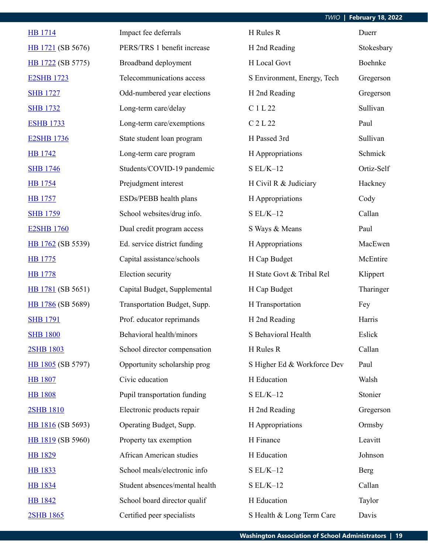## *TWIO* **| February 18, 2022**

| <b>HB</b> 1714    | Impact fee deferrals           | H Rules R                   | Duerr      |
|-------------------|--------------------------------|-----------------------------|------------|
| HB 1721 (SB 5676) | PERS/TRS 1 benefit increase    | H 2nd Reading               | Stokesbary |
| HB 1722 (SB 5775) | Broadband deployment           | H Local Govt                | Boehnke    |
| <b>E2SHB 1723</b> | Telecommunications access      | S Environment, Energy, Tech | Gregerson  |
| <b>SHB 1727</b>   | Odd-numbered year elections    | H 2nd Reading               | Gregerson  |
| <b>SHB 1732</b>   | Long-term care/delay           | C 1 L 22                    | Sullivan   |
| <b>ESHB 1733</b>  | Long-term care/exemptions      | C 2 L 22                    | Paul       |
| <b>E2SHB 1736</b> | State student loan program     | H Passed 3rd                | Sullivan   |
| <b>HB</b> 1742    | Long-term care program         | H Appropriations            | Schmick    |
| <b>SHB 1746</b>   | Students/COVID-19 pandemic     | $SL/K-12$                   | Ortiz-Self |
| <b>HB</b> 1754    | Prejudgment interest           | H Civil R & Judiciary       | Hackney    |
| <b>HB</b> 1757    | ESDs/PEBB health plans         | H Appropriations            | Cody       |
| <b>SHB 1759</b>   | School websites/drug info.     | $S EL/K-12$                 | Callan     |
| <b>E2SHB 1760</b> | Dual credit program access     | S Ways & Means              | Paul       |
| HB 1762 (SB 5539) | Ed. service district funding   | H Appropriations            | MacEwen    |
| HB 1775           | Capital assistance/schools     | H Cap Budget                | McEntire   |
| <b>HB</b> 1778    | Election security              | H State Govt & Tribal Rel   | Klippert   |
| HB 1781 (SB 5651) | Capital Budget, Supplemental   | H Cap Budget                | Tharinger  |
| HB 1786 (SB 5689) | Transportation Budget, Supp.   | H Transportation            | Fey        |
| <b>SHB 1791</b>   | Prof. educator reprimands      | H 2nd Reading               | Harris     |
| <b>SHB 1800</b>   | Behavioral health/minors       | S Behavioral Health         | Eslick     |
| 2SHB 1803         | School director compensation   | H Rules R                   | Callan     |
| HB 1805 (SB 5797) | Opportunity scholarship prog   | S Higher Ed & Workforce Dev | Paul       |
| <b>HB 1807</b>    | Civic education                | H Education                 | Walsh      |
| <b>HB</b> 1808    | Pupil transportation funding   | $S EL/K-12$                 | Stonier    |
| 2SHB 1810         | Electronic products repair     | H 2nd Reading               | Gregerson  |
| HB 1816 (SB 5693) | Operating Budget, Supp.        | H Appropriations            | Ormsby     |
| HB 1819 (SB 5960) | Property tax exemption         | H Finance                   | Leavitt    |
| HB 1829           | African American studies       | H Education                 | Johnson    |
| <b>HB</b> 1833    | School meals/electronic info   | $S EL/K-12$                 | Berg       |
| <b>HB</b> 1834    | Student absences/mental health | $S EL/K-12$                 | Callan     |
| <b>HB 1842</b>    | School board director qualif   | H Education                 | Taylor     |
| 2SHB 1865         | Certified peer specialists     | S Health & Long Term Care   | Davis      |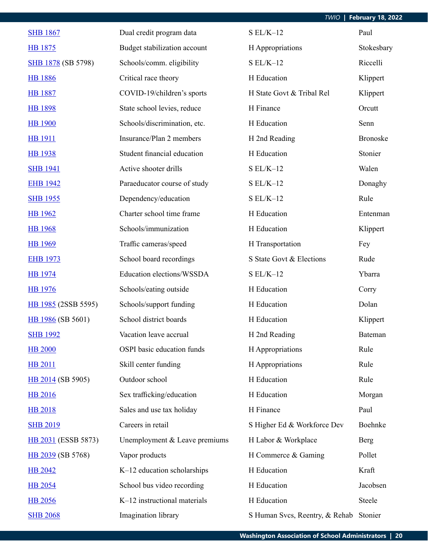| TWIO   February 18, 2022 |  |  |  |
|--------------------------|--|--|--|
|--------------------------|--|--|--|

| <b>SHB 1867</b>           | Dual credit program data      | $S EL/K-12$                    | Paul            |
|---------------------------|-------------------------------|--------------------------------|-----------------|
| HB 1875                   | Budget stabilization account  | H Appropriations               | Stokesbary      |
| <b>SHB 1878</b> (SB 5798) | Schools/comm. eligibility     | $SL/K-12$                      | Riccelli        |
| <b>HB 1886</b>            | Critical race theory          | H Education                    | Klippert        |
| <b>HB</b> 1887            | COVID-19/children's sports    | H State Govt & Tribal Rel      | Klippert        |
| <b>HB 1898</b>            | State school levies, reduce   | H Finance                      | Orcutt          |
| <b>HB</b> 1900            | Schools/discrimination, etc.  | H Education                    | Senn            |
| HB 1911                   | Insurance/Plan 2 members      | H 2nd Reading                  | <b>Bronoske</b> |
| <b>HB</b> 1938            | Student financial education   | H Education                    | Stonier         |
| <b>SHB 1941</b>           | Active shooter drills         | $S EL/K-12$                    | Walen           |
| <b>EHB 1942</b>           | Paraeducator course of study  | $S EL/K-12$                    | Donaghy         |
| <b>SHB 1955</b>           | Dependency/education          | $S EL/K-12$                    | Rule            |
| <b>HB</b> 1962            | Charter school time frame     | H Education                    | Entenman        |
| <b>HB</b> 1968            | Schools/immunization          | H Education                    | Klippert        |
| <b>HB</b> 1969            | Traffic cameras/speed         | H Transportation               | Fey             |
| <b>EHB 1973</b>           | School board recordings       | S State Govt & Elections       | Rude            |
| <b>HB</b> 1974            | Education elections/WSSDA     | $S EL/K-12$                    | Ybarra          |
| <b>HB</b> 1976            | Schools/eating outside        | H Education                    | Corry           |
| HB 1985 (2SSB 5595)       | Schools/support funding       | H Education                    | Dolan           |
| HB 1986 (SB 5601)         | School district boards        | H Education                    | Klippert        |
| <b>SHB 1992</b>           | Vacation leave accrual        | H 2nd Reading                  | Bateman         |
| <b>HB 2000</b>            | OSPI basic education funds    | H Appropriations               | Rule            |
| <b>HB 2011</b>            | Skill center funding          | H Appropriations               | Rule            |
| HB 2014 (SB 5905)         | Outdoor school                | H Education                    | Rule            |
| <b>HB 2016</b>            | Sex trafficking/education     | H Education                    | Morgan          |
| <b>HB 2018</b>            | Sales and use tax holiday     | H Finance                      | Paul            |
| <b>SHB 2019</b>           | Careers in retail             | S Higher Ed & Workforce Dev    | Boehnke         |
| HB 2031 (ESSB 5873)       | Unemployment & Leave premiums | H Labor & Workplace            | <b>Berg</b>     |
| HB 2039 (SB 5768)         | Vapor products                | H Commerce & Gaming            | Pollet          |
| HB 2042                   | K-12 education scholarships   | H Education                    | Kraft           |
| <b>HB 2054</b>            | School bus video recording    | H Education                    | Jacobsen        |
| <b>HB 2056</b>            | K-12 instructional materials  | H Education                    | Steele          |
| <b>SHB 2068</b>           | Imagination library           | S Human Svcs, Reentry, & Rehab | Stonier         |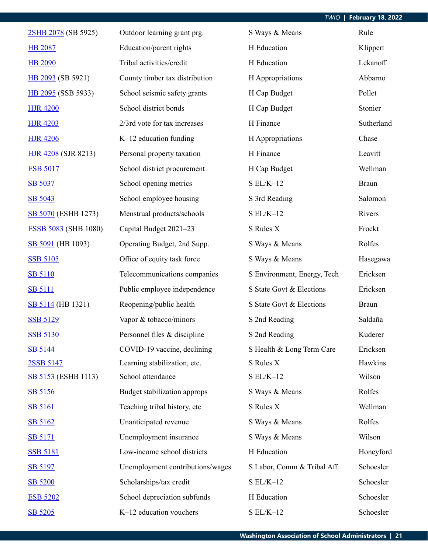| 2SHB 2078 (SB 5925)         | Outdoor learning grant prg.      | S Ways & Means              | Rule         |
|-----------------------------|----------------------------------|-----------------------------|--------------|
| <b>HB 2087</b>              | Education/parent rights          | H Education                 | Klippert     |
| <b>HB 2090</b>              | Tribal activities/credit         | H Education                 | Lekanoff     |
| HB 2093 (SB 5921)           | County timber tax distribution   | H Appropriations            | Abbarno      |
| HB 2095 (SSB 5933)          | School seismic safety grants     | H Cap Budget                | Pollet       |
| <b>HJR 4200</b>             | School district bonds            | H Cap Budget                | Stonier      |
| <b>HJR 4203</b>             | 2/3rd vote for tax increases     | H Finance                   | Sutherland   |
| <b>HJR 4206</b>             | $K-12$ education funding         | H Appropriations            | Chase        |
| <b>HJR 4208 (SJR 8213)</b>  | Personal property taxation       | H Finance                   | Leavitt      |
| <b>ESB 5017</b>             | School district procurement      | H Cap Budget                | Wellman      |
| SB 5037                     | School opening metrics           | $S EL/K-12$                 | <b>Braun</b> |
| SB 5043                     | School employee housing          | S 3rd Reading               | Salomon      |
| SB 5070 (ESHB 1273)         | Menstrual products/schools       | $SL/K-12$                   | Rivers       |
| <b>ESSB 5083 (SHB 1080)</b> | Capital Budget 2021-23           | S Rules X                   | Frockt       |
| SB 5091 (HB 1093)           | Operating Budget, 2nd Supp.      | S Ways & Means              | Rolfes       |
| <b>SSB 5105</b>             | Office of equity task force      | S Ways & Means              | Hasegawa     |
| <b>SB 5110</b>              | Telecommunications companies     | S Environment, Energy, Tech | Ericksen     |
| <b>SB 5111</b>              | Public employee independence     | S State Govt & Elections    | Ericksen     |
| <b>SB 5114</b> (HB 1321)    | Reopening/public health          | S State Govt & Elections    | <b>Braun</b> |
| <b>SSB 5129</b>             | Vapor & tobacco/minors           | S 2nd Reading               | Saldaña      |
| <b>SSB 5130</b>             | Personnel files & discipline     | S 2nd Reading               | Kuderer      |
| SB 5144                     | COVID-19 vaccine, declining      | S Health & Long Term Care   | Ericksen     |
| 2SSB 5147                   | Learning stabilization, etc.     | S Rules X                   | Hawkins      |
| <b>SB 5153</b> (ESHB 1113)  | School attendance                | $S EL/K-12$                 | Wilson       |
| SB 5156                     | Budget stabilization approps     | S Ways & Means              | Rolfes       |
| <b>SB 5161</b>              | Teaching tribal history, etc     | S Rules X                   | Wellman      |
| SB 5162                     | Unanticipated revenue            | S Ways & Means              | Rolfes       |
| <b>SB 5171</b>              | Unemployment insurance           | S Ways & Means              | Wilson       |
| <b>SSB 5181</b>             | Low-income school districts      | H Education                 | Honeyford    |
| SB 5197                     | Unemployment contributions/wages | S Labor, Comm & Tribal Aff  | Schoesler    |
| <b>SB 5200</b>              | Scholarships/tax credit          | $S EL/K-12$                 | Schoesler    |
| <b>ESB 5202</b>             | School depreciation subfunds     | H Education                 | Schoesler    |
| SB 5205                     | K-12 education vouchers          | $S EL/K-12$                 | Schoesler    |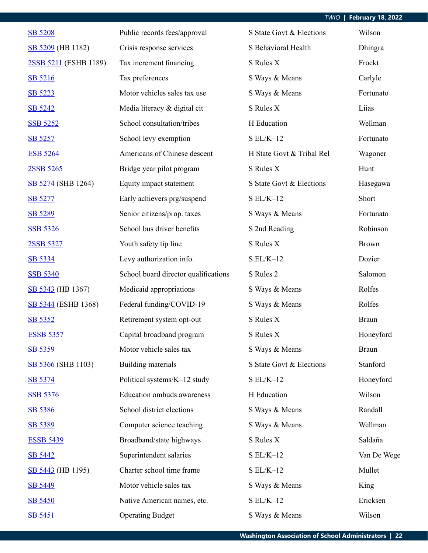| SB 5208               | Public records fees/approval         | S State Govt & Elections  | Wilson       |
|-----------------------|--------------------------------------|---------------------------|--------------|
| SB 5209 (HB 1182)     | Crisis response services             | S Behavioral Health       | Dhingra      |
| 2SSB 5211 (ESHB 1189) | Tax increment financing              | S Rules X                 | Frockt       |
| SB 5216               | Tax preferences                      | S Ways & Means            | Carlyle      |
| SB 5223               | Motor vehicles sales tax use         | S Ways & Means            | Fortunato    |
| SB 5242               | Media literacy & digital cit         | S Rules X                 | Liias        |
| <b>SSB 5252</b>       | School consultation/tribes           | H Education               | Wellman      |
| SB 5257               | School levy exemption                | $S EL/K-12$               | Fortunato    |
| <b>ESB 5264</b>       | Americans of Chinese descent         | H State Govt & Tribal Rel | Wagoner      |
| 2SSB 5265             | Bridge year pilot program            | S Rules X                 | Hunt         |
| SB 5274 (SHB 1264)    | Equity impact statement              | S State Govt & Elections  | Hasegawa     |
| SB 5277               | Early achievers prg/suspend          | $SL/K-12$                 | Short        |
| SB 5289               | Senior citizens/prop. taxes          | S Ways & Means            | Fortunato    |
| <b>SSB 5326</b>       | School bus driver benefits           | S 2nd Reading             | Robinson     |
| 2SSB 5327             | Youth safety tip line                | S Rules X                 | <b>Brown</b> |
| SB 5334               | Levy authorization info.             | $S EL/K-12$               | Dozier       |
| <b>SSB 5340</b>       | School board director qualifications | S Rules 2                 | Salomon      |
| SB 5343 (HB 1367)     | Medicaid appropriations              | S Ways & Means            | Rolfes       |
| SB 5344 (ESHB 1368)   | Federal funding/COVID-19             | S Ways & Means            | Rolfes       |
| SB 5352               | Retirement system opt-out            | S Rules X                 | <b>Braun</b> |
| <b>ESSB 5357</b>      | Capital broadband program            | S Rules X                 | Honeyford    |
| SB 5359               | Motor vehicle sales tax              | S Ways & Means            | <b>Braun</b> |
| SB 5366 (SHB 1103)    | Building materials                   | S State Govt & Elections  | Stanford     |
| SB 5374               | Political systems/K-12 study         | $S EL/K-12$               | Honeyford    |
| <b>SSB 5376</b>       | <b>Education ombuds awareness</b>    | H Education               | Wilson       |
| SB 5386               | School district elections            | S Ways & Means            | Randall      |
| SB 5389               | Computer science teaching            | S Ways & Means            | Wellman      |
| <b>ESSB 5439</b>      | Broadband/state highways             | S Rules X                 | Saldaña      |
| SB 5442               | Superintendent salaries              | $S EL/K-12$               | Van De Wege  |
| SB 5443 (HB 1195)     | Charter school time frame            | $SL/K-12$                 | Mullet       |
| SB 5449               | Motor vehicle sales tax              | S Ways & Means            | King         |
| <b>SB 5450</b>        | Native American names, etc.          | $S EL/K-12$               | Ericksen     |
| SB 5451               | <b>Operating Budget</b>              | S Ways & Means            | Wilson       |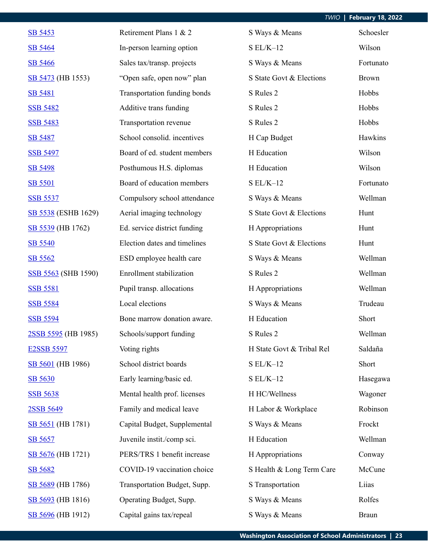| SB 5453             | Retirement Plans 1 & 2       | S Ways & Means            | Schoesler    |
|---------------------|------------------------------|---------------------------|--------------|
| SB 5464             | In-person learning option    | $SL/K-12$                 | Wilson       |
| <b>SB 5466</b>      | Sales tax/transp. projects   | S Ways & Means            | Fortunato    |
| SB 5473 (HB 1553)   | "Open safe, open now" plan   | S State Govt & Elections  | <b>Brown</b> |
| <b>SB 5481</b>      | Transportation funding bonds | S Rules 2                 | Hobbs        |
| <b>SSB 5482</b>     | Additive trans funding       | S Rules 2                 | Hobbs        |
| <b>SSB 5483</b>     | Transportation revenue       | S Rules 2                 | Hobbs        |
| SB 5487             | School consolid. incentives  | H Cap Budget              | Hawkins      |
| <b>SSB 5497</b>     | Board of ed. student members | H Education               | Wilson       |
| SB 5498             | Posthumous H.S. diplomas     | H Education               | Wilson       |
| <b>SB 5501</b>      | Board of education members   | $SL/K-12$                 | Fortunato    |
| <b>SSB 5537</b>     | Compulsory school attendance | S Ways & Means            | Wellman      |
| SB 5538 (ESHB 1629) | Aerial imaging technology    | S State Govt & Elections  | Hunt         |
| SB 5539 (HB 1762)   | Ed. service district funding | H Appropriations          | Hunt         |
| SB 5540             | Election dates and timelines | S State Govt & Elections  | Hunt         |
| SB 5562             | ESD employee health care     | S Ways & Means            | Wellman      |
| SSB 5563 (SHB 1590) | Enrollment stabilization     | S Rules 2                 | Wellman      |
| <b>SSB 5581</b>     | Pupil transp. allocations    | H Appropriations          | Wellman      |
| <b>SSB 5584</b>     | Local elections              | S Ways & Means            | Trudeau      |
| <b>SSB 5594</b>     | Bone marrow donation aware.  | H Education               | Short        |
| 2SSB 5595 (HB 1985) | Schools/support funding      | S Rules 2                 | Wellman      |
| <b>E2SSB 5597</b>   | Voting rights                | H State Govt & Tribal Rel | Saldaña      |
| SB 5601 (HB 1986)   | School district boards       | $SL/K-12$                 | Short        |
| SB 5630             | Early learning/basic ed.     | $SL/K-12$                 | Hasegawa     |
| <b>SSB 5638</b>     | Mental health prof. licenses | H HC/Wellness             | Wagoner      |
| 2SSB 5649           | Family and medical leave     | H Labor & Workplace       | Robinson     |
| SB 5651 (HB 1781)   | Capital Budget, Supplemental | S Ways & Means            | Frockt       |
| SB 5657             | Juvenile instit./comp sci.   | H Education               | Wellman      |
| SB 5676 (HB 1721)   | PERS/TRS 1 benefit increase  | H Appropriations          | Conway       |
| SB 5682             | COVID-19 vaccination choice  | S Health & Long Term Care | McCune       |
| SB 5689 (HB 1786)   | Transportation Budget, Supp. | S Transportation          | Liias        |
| SB 5693 (HB 1816)   | Operating Budget, Supp.      | S Ways & Means            | Rolfes       |
| SB 5696 (HB 1912)   | Capital gains tax/repeal     | S Ways & Means            | <b>Braun</b> |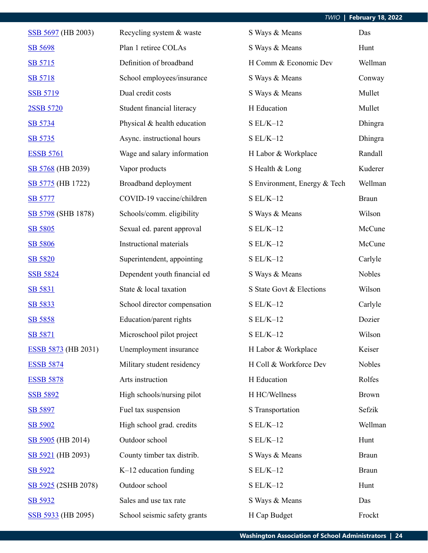| SSB 5697 (HB 2003)         | Recycling system & waste     | S Ways & Means               | Das          |
|----------------------------|------------------------------|------------------------------|--------------|
| <b>SB 5698</b>             | Plan 1 retiree COLAs         | S Ways & Means               | Hunt         |
| SB 5715                    | Definition of broadband      | H Comm & Economic Dev        | Wellman      |
| SB 5718                    | School employees/insurance   | S Ways & Means               | Conway       |
| <b>SSB 5719</b>            | Dual credit costs            | S Ways & Means               | Mullet       |
| 2SSB 5720                  | Student financial literacy   | H Education                  | Mullet       |
| SB 5734                    | Physical & health education  | $S EL/K-12$                  | Dhingra      |
| SB 5735                    | Async. instructional hours   | $S EL/K-12$                  | Dhingra      |
| <b>ESSB 5761</b>           | Wage and salary information  | H Labor & Workplace          | Randall      |
| SB 5768 (HB 2039)          | Vapor products               | S Health & Long              | Kuderer      |
| SB 5775 (HB 1722)          | Broadband deployment         | S Environment, Energy & Tech | Wellman      |
| <b>SB 5777</b>             | COVID-19 vaccine/children    | $S EL/K-12$                  | <b>Braun</b> |
| SB 5798 (SHB 1878)         | Schools/comm. eligibility    | S Ways & Means               | Wilson       |
| SB 5805                    | Sexual ed. parent approval   | $S EL/K-12$                  | McCune       |
| SB 5806                    | Instructional materials      | $S EL/K-12$                  | McCune       |
| SB 5820                    | Superintendent, appointing   | $S EL/K-12$                  | Carlyle      |
| <b>SSB 5824</b>            | Dependent youth financial ed | S Ways & Means               | Nobles       |
| SB 5831                    | State & local taxation       | S State Govt & Elections     | Wilson       |
| SB 5833                    | School director compensation | $S EL/K-12$                  | Carlyle      |
| SB 5858                    | Education/parent rights      | $S EL/K-12$                  | Dozier       |
| SB 5871                    | Microschool pilot project    | $S EL/K-12$                  | Wilson       |
| <b>ESSB 5873</b> (HB 2031) | Unemployment insurance       | H Labor & Workplace          | Keiser       |
| <b>ESSB 5874</b>           | Military student residency   | H Coll & Workforce Dev       | Nobles       |
| <b>ESSB 5878</b>           | Arts instruction             | H Education                  | Rolfes       |
| <b>SSB 5892</b>            | High schools/nursing pilot   | H HC/Wellness                | <b>Brown</b> |
| SB 5897                    | Fuel tax suspension          | S Transportation             | Sefzik       |
| SB 5902                    | High school grad. credits    | $SL/K-12$                    | Wellman      |
| SB 5905 (HB 2014)          | Outdoor school               | $S EL/K-12$                  | Hunt         |
| SB 5921 (HB 2093)          | County timber tax distrib.   | S Ways & Means               | <b>Braun</b> |
| SB 5922                    | $K-12$ education funding     | $S EL/K-12$                  | <b>Braun</b> |
| SB 5925 (2SHB 2078)        | Outdoor school               | $S EL/K-12$                  | Hunt         |
| SB 5932                    | Sales and use tax rate       | S Ways & Means               | Das          |
| SSB 5933 (HB 2095)         | School seismic safety grants | H Cap Budget                 | Frockt       |